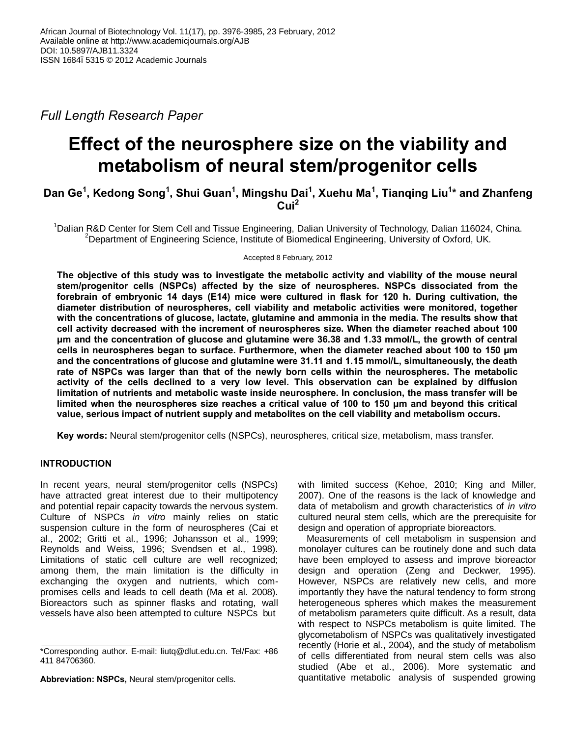*Full Length Research Paper*

# **Effect of the neurosphere size on the viability and metabolism of neural stem/progenitor cells**

**Dan Ge<sup>1</sup> , Kedong Song<sup>1</sup> , Shui Guan1 , Mingshu Dai<sup>1</sup> , Xuehu Ma<sup>1</sup> , Tianqing Liu1 \* and Zhanfeng Cui<sup>2</sup>**

<sup>1</sup>Dalian R&D Center for Stem Cell and Tissue Engineering, Dalian University of Technology, Dalian 116024, China. 2 Department of Engineering Science, Institute of Biomedical Engineering, University of Oxford, UK*.*

Accepted 8 February, 2012

**The objective of this study was to investigate the metabolic activity and viability of the mouse neural stem/progenitor cells (NSPCs) affected by the size of neurospheres. NSPCs dissociated from the forebrain of embryonic 14 days (E14) mice were cultured in flask for 120 h. During cultivation, the diameter distribution of neurospheres, cell viability and metabolic activities were monitored, together with the concentrations of glucose, lactate, glutamine and ammonia in the media. The results show that cell activity decreased with the increment of neurospheres size. When the diameter reached about 100 μm and the concentration of glucose and glutamine were 36.38 and 1.33 mmol/L, the growth of central cells in neurospheres began to surface. Furthermore, when the diameter reached about 100 to 150 μm and the concentrations of glucose and glutamine were 31.11 and 1.15 mmol/L, simultaneously, the death rate of NSPCs was larger than that of the newly born cells within the neurospheres. The metabolic activity of the cells declined to a very low level. This observation can be explained by diffusion limitation of nutrients and metabolic waste inside neurosphere. In conclusion, the mass transfer will be limited when the neurospheres size reaches a critical value of 100 to 150 μm and beyond this critical value, serious impact of nutrient supply and metabolites on the cell viability and metabolism occurs.** 

**Key words:** Neural stem/progenitor cells (NSPCs), neurospheres, critical size, metabolism, mass transfer.

# **INTRODUCTION**

In recent years, neural stem/progenitor cells (NSPCs) have attracted great interest due to their multipotency and potential repair capacity towards the nervous system. Culture of NSPCs *in vitro* mainly relies on static suspension culture in the form of neurospheres (Cai et al., 2002; Gritti et al., 1996; Johansson et al., 1999; Reynolds and Weiss, 1996; Svendsen et al., 1998). Limitations of static cell culture are well recognized; among them, the main limitation is the difficulty in exchanging the oxygen and nutrients, which compromises cells and leads to cell death (Ma et al. 2008). Bioreactors such as spinner flasks and rotating, wall vessels have also been attempted to culture NSPCs but

**Abbreviation: NSPCs,** Neural stem/progenitor cells.

with limited success (Kehoe, 2010; King and Miller, 2007). One of the reasons is the lack of knowledge and data of metabolism and growth characteristics of *in vitro* cultured neural stem cells, which are the prerequisite for design and operation of appropriate bioreactors.

Measurements of cell metabolism in suspension and monolayer cultures can be routinely done and such data have been employed to assess and improve bioreactor design and operation (Zeng and Deckwer, 1995). However, NSPCs are relatively new cells, and more importantly they have the natural tendency to form strong heterogeneous spheres which makes the measurement of metabolism parameters quite difficult. As a result, data with respect to NSPCs metabolism is quite limited. The glycometabolism of NSPCs was qualitatively investigated recently (Horie et al., 2004), and the study of metabolism of cells differentiated from neural stem cells was also studied (Abe et al., 2006). More systematic and quantitative metabolic analysis of suspended growing

<sup>\*</sup>Corresponding author. E-mail: liutq@dlut.edu.cn. Tel/Fax: +86 411 84706360.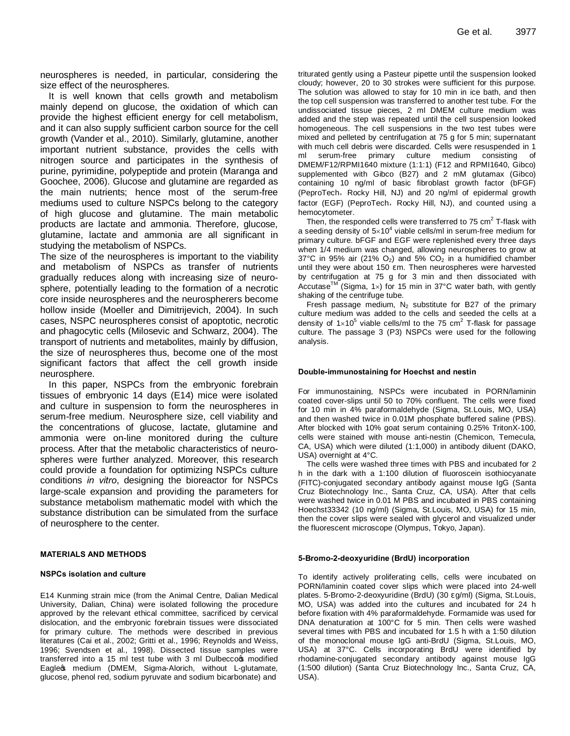neurospheres is needed, in particular, considering the size effect of the neurospheres.

It is well known that cells growth and metabolism mainly depend on glucose, the oxidation of which can provide the highest efficient energy for cell metabolism, and it can also supply sufficient carbon source for the cell growth (Vander et al., 2010). Similarly, glutamine, another important nutrient substance, provides the cells with nitrogen source and participates in the synthesis of purine, pyrimidine, polypeptide and protein (Maranga and Goochee, 2006). Glucose and glutamine are regarded as the main nutrients; hence most of the serum-free mediums used to culture NSPCs belong to the category of high glucose and glutamine. The main metabolic products are lactate and ammonia. Therefore, glucose, glutamine, lactate and ammonia are all significant in studying the metabolism of NSPCs.

The size of the neurospheres is important to the viability and metabolism of NSPCs as transfer of nutrients gradually reduces along with increasing size of neurosphere, potentially leading to the formation of a necrotic core inside neurospheres and the neurospherers become hollow inside (Moeller and Dimitrijevich, 2004). In such cases, NSPC neurospheres consist of apoptotic, necrotic and phagocytic cells (Milosevic and Schwarz, 2004). The transport of nutrients and metabolites, mainly by diffusion, the size of neurospheres thus, become one of the most significant factors that affect the cell growth inside neurosphere.

In this paper, NSPCs from the embryonic forebrain tissues of embryonic 14 days (E14) mice were isolated and culture in suspension to form the neurospheres in serum-free medium. Neurosphere size, cell viability and the concentrations of glucose, lactate, glutamine and ammonia were on-line monitored during the culture process. After that the metabolic characteristics of neurospheres were further analyzed. Moreover, this research could provide a foundation for optimizing NSPCs culture conditions *in vitro*, designing the bioreactor for NSPCs large-scale expansion and providing the parameters for substance metabolism mathematic model with which the substance distribution can be simulated from the surface of neurosphere to the center.

## **MATERIALS AND METHODS**

#### **NSPCs isolation and culture**

E14 Kunming strain mice (from the Animal Centre, Dalian Medical University, Dalian, China) were isolated following the procedure approved by the relevant ethical committee, sacrificed by cervical dislocation, and the embryonic forebrain tissues were dissociated for primary culture. The methods were described in previous literatures (Cai et al., 2002; Gritti et al., 1996; Reynolds and Weiss, 1996; Svendsen et al., 1998). Dissected tissue samples were transferred into a 15 ml test tube with 3 ml Dulbecco w modified Eagle of medium (DMEM, Sigma-Alorich, without L-glutamate, glucose, phenol red, sodium pyruvate and sodium bicarbonate) and

triturated gently using a Pasteur pipette until the suspension looked cloudy; however, 20 to 30 strokes were sufficient for this purpose. The solution was allowed to stay for 10 min in ice bath, and then the top cell suspension was transferred to another test tube. For the undissociated tissue pieces, 2 ml DMEM culture medium was added and the step was repeated until the cell suspension looked homogeneous. The cell suspensions in the two test tubes were mixed and pelleted by centrifugation at 75 g for 5 min; supernatant with much cell debris were discarded. Cells were resuspended in 1 ml serum-free primary culture medium consisting of DMEM/F12/RPMI1640 mixture (1:1:1) (F12 and RPMI1640, Gibco) supplemented with Gibco (B27) and 2 mM glutamax (Gibco) containing 10 ng/ml of basic fibroblast growth factor (bFGF) (PeproTech, Rocky Hill, NJ) and 20 ng/ml of epidermal growth factor (EGF) (PeproTech, Rocky Hill, NJ), and counted using a hemocytometer.

Then, the responded cells were transferred to 75 cm<sup>2</sup> T-flask with a seeding density of  $5\times10^4$  viable cells/ml in serum-free medium for primary culture. bFGF and EGF were replenished every three days when 1/4 medium was changed, allowing neurospheres to grow at 37°C in 95% air (21%  $O_2$ ) and 5%  $CO_2$  in a humidified chamber until they were about 150 m. Then neurospheres were harvested by centrifugation at 75 g for 3 min and then dissociated with Accutase<sup>TM</sup> (Sigma, 1x) for 15 min in 37°C water bath, with gently shaking of the centrifuge tube.

Fresh passage medium,  $N_2$  substitute for B27 of the primary culture medium was added to the cells and seeded the cells at a density of  $1\times10^5$  viable cells/ml to the 75 cm<sup>2</sup> T-flask for passage culture. The passage 3 (P3) NSPCs were used for the following analysis.

#### **Double-immunostaining for Hoechst and nestin**

For immunostaining, NSPCs were incubated in PORN/laminin coated cover-slips until 50 to 70% confluent. The cells were fixed for 10 min in 4% paraformaldehyde (Sigma, St.Louis, MO, USA) and then washed twice in 0.01M phosphate buffered saline (PBS). After blocked with 10% goat serum containing 0.25% TritonX-100, cells were stained with mouse anti-nestin (Chemicon, Temecula, CA, USA) which were diluted (1:1,000) in antibody diluent (DAKO, USA) overnight at 4°C.

The cells were washed three times with PBS and incubated for 2 h in the dark with a 1:100 dilution of fluoroscein isothiocyanate (FITC)-conjugated secondary antibody against mouse IgG (Santa Cruz Biotechnology Inc., Santa Cruz, CA, USA). After that cells were washed twice in 0.01 M PBS and incubated in PBS containing Hoechst33342 (10 ng/ml) (Sigma, St.Louis, MO, USA) for 15 min, then the cover slips were sealed with glycerol and visualized under the fluorescent microscope (Olympus, Tokyo, Japan).

#### **5-Bromo-2-deoxyuridine (BrdU) incorporation**

To identify actively proliferating cells, cells were incubated on PORN/laminin coated cover slips which were placed into 24-well plates. 5-Bromo-2-deoxyuridine (BrdU) (30 g/ml) (Sigma, St.Louis, MO, USA) was added into the cultures and incubated for 24 h before fixation with 4% paraformaldehyde. Formamide was used for DNA denaturation at 100°C for 5 min. Then cells were washed several times with PBS and incubated for 1.5 h with a 1:50 dilution of the monoclonal mouse IgG anti-BrdU (Sigma, St.Louis, MO, USA) at 37°C. Cells incorporating BrdU were identified by rhodamine-conjugated secondary antibody against mouse IgG (1:500 dilution) (Santa Cruz Biotechnology Inc., Santa Cruz, CA, USA).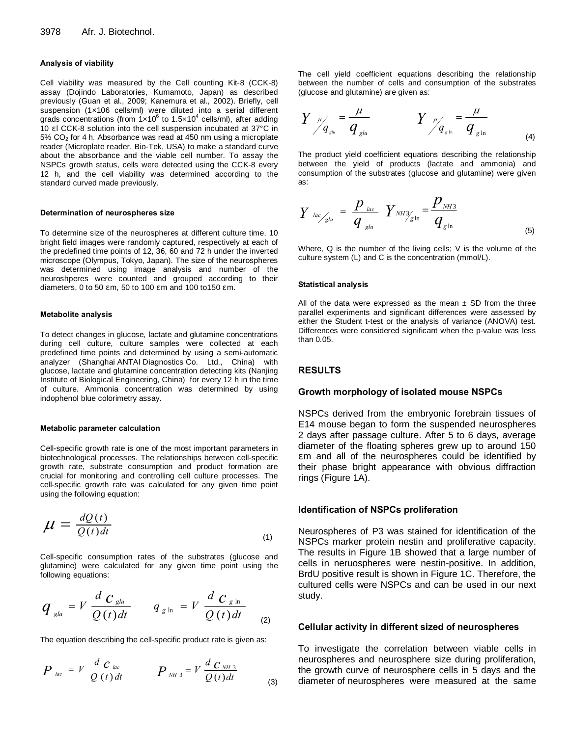#### **Analysis of viability**

Cell viability was measured by the Cell counting Kit-8 (CCK-8) assay (Dojindo Laboratories, Kumamoto, Japan) as described previously (Guan et al., 2009; Kanemura et al., 2002). Briefly, cell suspension (1x106 cells/ml) were diluted into a serial different grads concentrations (from  $1 \times 10^6$  to  $1.5 \times 10^4$  cells/ml), after adding 10 l CCK-8 solution into the cell suspension incubated at 37°C in  $5\%$  CO<sub>2</sub> for 4 h. Absorbance was read at 450 nm using a microplate reader (Microplate reader, Bio-Tek, USA) to make a standard curve about the absorbance and the viable cell number. To assay the NSPCs growth status, cells were detected using the CCK-8 every 12 h, and the cell viability was determined according to the standard curved made previously.

## **Determination of neurospheres size**

To determine size of the neurospheres at different culture time, 10 bright field images were randomly captured, respectively at each of the predefined time points of 12, 36, 60 and 72 h under the inverted microscope (Olympus, Tokyo, Japan). The size of the neurospheres was determined using image analysis and number of the neuroshperes were counted and grouped according to their diameters, 0 to 50 m, 50 to 100 m and 100 to150 m.

#### **Metabolite analysis**

To detect changes in glucose, lactate and glutamine concentrations during cell culture, culture samples were collected at each predefined time points and determined by using a semi-automatic analyzer (Shanghai ANTAI Diagnostics Co. Ltd., China) with glucose, lactate and glutamine concentration detecting kits (Nanjing Institute of Biological Engineering, China) for every 12 h in the time of culture. Ammonia concentration was determined by using indophenol blue colorimetry assay.

#### **Metabolic parameter calculation**

Cell-specific growth rate is one of the most important parameters in biotechnological processes. The relationships between cell-specific growth rate, substrate consumption and product formation are crucial for monitoring and controlling cell culture processes. The cell-specific growth rate was calculated for any given time point using the following equation:

$$
\mu = \frac{dQ(t)}{Q(t)dt} \tag{1}
$$

Cell-specific consumption rates of the substrates (glucose and glutamine) were calculated for any given time point using the following equations:

$$
q_{\text{glu}} = V \frac{d \ C_{\text{glu}}}{Q(t) dt} \qquad q_{\text{glu}} = V \frac{d \ C_{\text{glu}}}{Q(t) dt} \tag{2}
$$

The equation describing the cell-specific product rate is given as:

$$
P_{lac} = V \frac{d \ C_{lac}}{Q(t) dt} \qquad P_{NH3} = V \frac{d \ C_{NH3}}{Q(t) dt}
$$
 (3)

The cell yield coefficient equations describing the relationship between the number of cells and consumption of the substrates (glucose and glutamine) are given as:

$$
Y \, \frac{\mu}{q_{\rm glu}} = \frac{\mu}{q_{\rm glu}} \qquad \qquad Y \, \frac{\mu}{q_{\rm glu}} = \frac{\mu}{q_{\rm glu}} \tag{4}
$$

The product yield coefficient equations describing the relationship between the yield of products (lactate and ammonia) and consumption of the substrates (glucose and glutamine) were given as:

$$
Y_{lac/_{glu}} = \frac{p_{lac}}{q_{glu}} Y_{NH3} = \frac{p_{NH3}}{q_{glu}}
$$
 (5)

Where, Q is the number of the living cells; V is the volume of the culture system (L) and C is the concentration (mmol/L).

#### **Statistical analysis**

All of the data were expressed as the mean  $\pm$  SD from the three parallel experiments and significant differences were assessed by either the Student t-test or the analysis of variance (ANOVA) test. Differences were considered significant when the p-value was less than 0.05.

## **RESULTS**

#### **Growth morphology of isolated mouse NSPCs**

NSPCs derived from the embryonic forebrain tissues of E14 mouse began to form the suspended neurospheres 2 days after passage culture. After 5 to 6 days, average diameter of the floating spheres grew up to around 150 m and all of the neurospheres could be identified by their phase bright appearance with obvious diffraction rings (Figure 1A).

#### **Identification of NSPCs proliferation**

Neurospheres of P3 was stained for identification of the NSPCs marker protein nestin and proliferative capacity. The results in Figure 1B showed that a large number of cells in neruospheres were nestin-positive. In addition, BrdU positive result is shown in Figure 1C. Therefore, the cultured cells were NSPCs and can be used in our next study.

## **Cellular activity in different sized of neurospheres**

To investigate the correlation between viable cells in neurospheres and neurosphere size during proliferation, the growth curve of neurosphere cells in 5 days and the diameter of neurospheres were measured at the same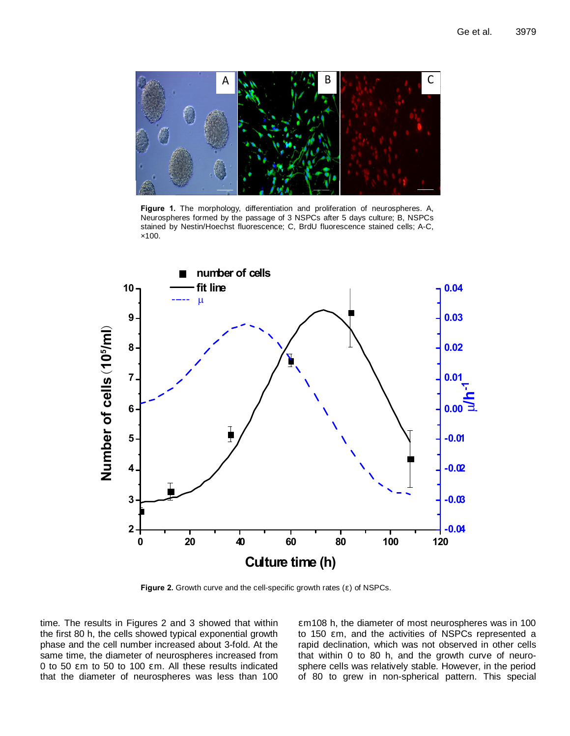

**Figure 1.** The morphology, differentiation and proliferation of neurospheres. A, Neurospheres formed by the passage of 3 NSPCs after 5 days culture; B, NSPCs stained by Nestin/Hoechst fluorescence; C, BrdU fluorescence stained cells; A-C, ×100.



Figure 2. Growth curve and the cell-specific growth rates () of NSPCs.

time. The results in Figures 2 and 3 showed that within the first 80 h, the cells showed typical exponential growth phase and the cell number increased about 3-fold. At the same time, the diameter of neurospheres increased from 0 to 50 m to 50 to 100 m. All these results indicated that the diameter of neurospheres was less than 100

m108 h, the diameter of most neurospheres was in 100 to 150 m, and the activities of NSPCs represented a rapid declination, which was not observed in other cells that within 0 to 80 h, and the growth curve of neurosphere cells was relatively stable. However, in the period of 80 to grew in non-spherical pattern. This special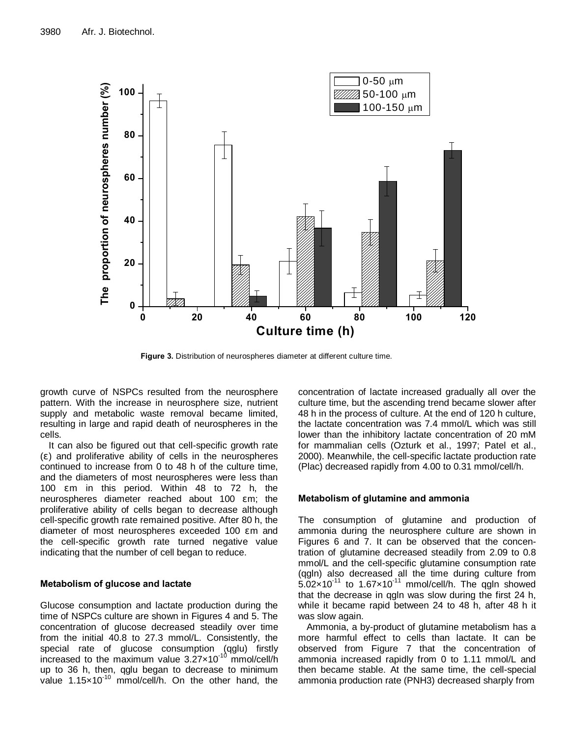

**Figure 3.** Distribution of neurospheres diameter at different culture time.

growth curve of NSPCs resulted from the neurosphere pattern. With the increase in neurosphere size, nutrient supply and metabolic waste removal became limited, resulting in large and rapid death of neurospheres in the cells.

It can also be figured out that cell-specific growth rate ( ) and proliferative ability of cells in the neurospheres continued to increase from 0 to 48 h of the culture time, and the diameters of most neurospheres were less than 100 m in this period. Within 48 to 72 h, the neurospheres diameter reached about 100 m; the proliferative ability of cells began to decrease although cell-specific growth rate remained positive. After 80 h, the diameter of most neurospheres exceeded 100 m and the cell-specific growth rate turned negative value indicating that the number of cell began to reduce.

# **Metabolism of glucose and lactate**

Glucose consumption and lactate production during the time of NSPCs culture are shown in Figures 4 and 5. The concentration of glucose decreased steadily over time from the initial 40.8 to 27.3 mmol/L. Consistently, the special rate of glucose consumption (qglu) firstly increased to the maximum value  $3.27 \times 10^{-10}$  mmol/cell/h up to 36 h, then, qglu began to decrease to minimum value  $1.15\times10^{-10}$  mmol/cell/h. On the other hand, the concentration of lactate increased gradually all over the culture time, but the ascending trend became slower after 48 h in the process of culture. At the end of 120 h culture, the lactate concentration was 7.4 mmol/L which was still lower than the inhibitory lactate concentration of 20 mM for mammalian cells (Ozturk et al., 1997; Patel et al., 2000). Meanwhile, the cell-specific lactate production rate (Plac) decreased rapidly from 4.00 to 0.31 mmol/cell/h.

# **Metabolism of glutamine and ammonia**

The consumption of glutamine and production of ammonia during the neurosphere culture are shown in Figures 6 and 7. It can be observed that the concentration of glutamine decreased steadily from 2.09 to 0.8 mmol/L and the cell-specific glutamine consumption rate (qgln) also decreased all the time during culture from  $5.02\times10^{-11}$  to 1.67 $\times10^{-11}$  mmol/cell/h. The qgln showed that the decrease in qgln was slow during the first 24 h, while it became rapid between 24 to 48 h, after 48 h it was slow again.

Ammonia, a by-product of glutamine metabolism has a more harmful effect to cells than lactate. It can be observed from Figure 7 that the concentration of ammonia increased rapidly from 0 to 1.11 mmol/L and then became stable. At the same time, the cell-special ammonia production rate (PNH3) decreased sharply from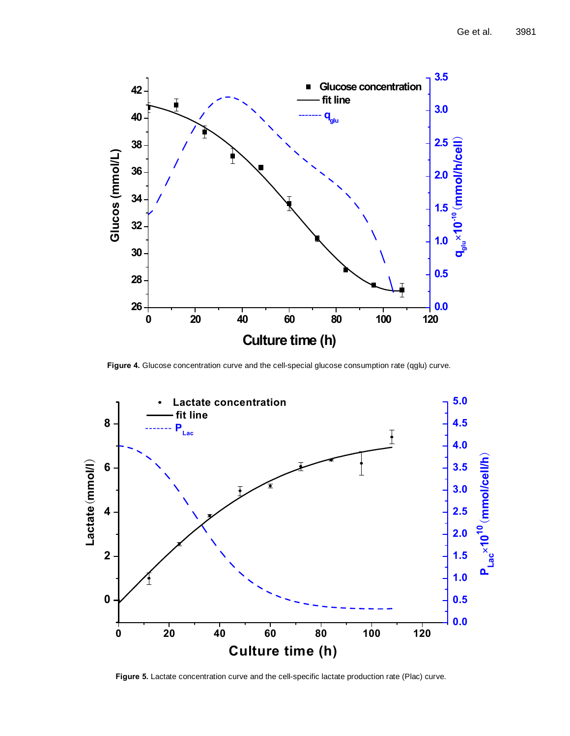

**Figure 4.** Glucose concentration curve and the cell-special glucose consumption rate (qglu) curve.



**Figure 5.** Lactate concentration curve and the cell-specific lactate production rate (Plac) curve.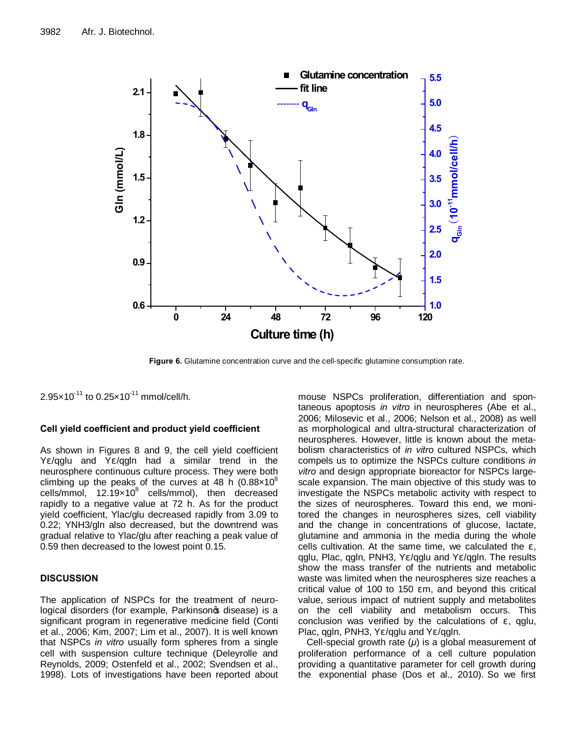

**Figure 6.** Glutamine concentration curve and the cell-specific glutamine consumption rate.

 $2.95 \times 10^{-11}$  to  $0.25 \times 10^{-11}$  mmol/cell/h.

## **Cell yield coefficient and product yield coefficient**

As shown in Figures 8 and 9, the cell yield coefficient Y /qglu and Y /qgln had a similar trend in the neurosphere continuous culture process. They were both climbing up the peaks of the curves at 48 h  $(0.88 \times 10^8)$ cells/mmol,  $12.19\times10^{8}$  cells/mmol), then decreased rapidly to a negative value at 72 h. As for the product yield coefficient, Ylac/glu decreased rapidly from 3.09 to 0.22; YNH3/gln also decreased, but the downtrend was gradual relative to Ylac/glu after reaching a peak value of 0.59 then decreased to the lowest point 0.15.

# **DISCUSSION**

The application of NSPCs for the treatment of neurological disorders (for example, Parkinsonos disease) is a significant program in regenerative medicine field (Conti et al., 2006; Kim, 2007; Lim et al., 2007). It is well known that NSPCs *in vitro* usually form spheres from a single cell with suspension culture technique (Deleyrolle and Reynolds, 2009; Ostenfeld et al., 2002; Svendsen et al., 1998). Lots of investigations have been reported about

mouse NSPCs proliferation, differentiation and spontaneous apoptosis *in vitro* in neurospheres (Abe et al., 2006; Milosevic et al., 2006; Nelson et al., 2008) as well as morphological and ultra-structural characterization of neurospheres. However, little is known about the metabolism characteristics of *in vitro* cultured NSPCs, which compels us to optimize the NSPCs culture conditions *in vitro* and design appropriate bioreactor for NSPCs largescale expansion. The main objective of this study was to investigate the NSPCs metabolic activity with respect to the sizes of neurospheres. Toward this end, we monitored the changes in neurospheres sizes, cell viability and the change in concentrations of glucose, lactate, glutamine and ammonia in the media during the whole cells cultivation. At the same time, we calculated the , qglu, Plac, qgln, PNH3, Y /qglu and Y /qgln. The results show the mass transfer of the nutrients and metabolic waste was limited when the neurospheres size reaches a critical value of 100 to 150 m, and beyond this critical value, serious impact of nutrient supply and metabolites on the cell viability and metabolism occurs. This conclusion was verified by the calculations of , qglu, Plac, qgln, PNH3, Y /qglu and Y /qgln.

Cell-special growth rate (*μ*) is a global measurement of proliferation performance of a cell culture population providing a quantitative parameter for cell growth during the exponential phase (Dos et al., 2010). So we first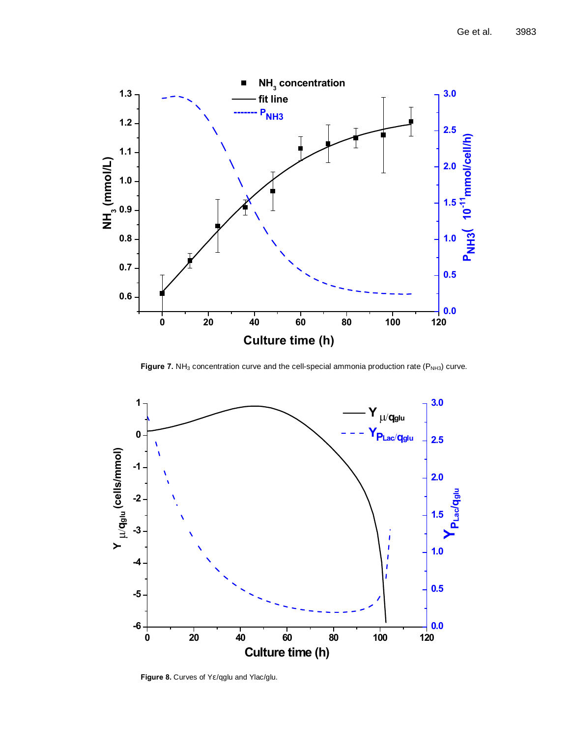

Figure 7. NH<sub>3</sub> concentration curve and the cell-special ammonia production rate (P<sub>NH3</sub>) curve.



Figure 8. Curves of Y /qglu and Ylac/glu.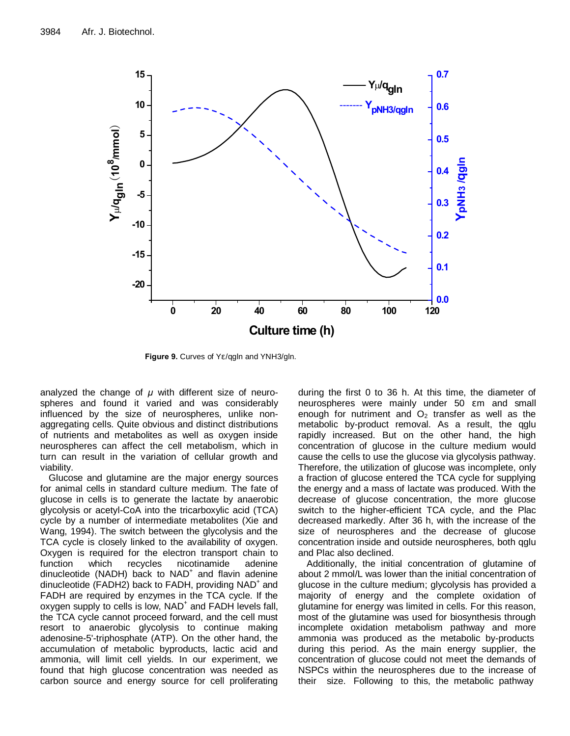

Figure 9. Curves of Y /qgln and YNH3/gln.

analyzed the change of *μ* with different size of neurospheres and found it varied and was considerably influenced by the size of neurospheres, unlike nonaggregating cells. Quite obvious and distinct distributions of nutrients and metabolites as well as oxygen inside neurospheres can affect the cell metabolism, which in turn can result in the variation of cellular growth and viability.

Glucose and glutamine are the major energy sources for animal cells in standard culture medium. The fate of glucose in cells is to generate the lactate by anaerobic glycolysis or acetyl-CoA into the tricarboxylic acid (TCA) cycle by a number of intermediate metabolites (Xie and Wang, 1994). The switch between the glycolysis and the TCA cycle is closely linked to the availability of oxygen. Oxygen is required for the electron transport chain to function which recycles nicotinamide adenine dinucleotide (NADH) back to  $NAD<sup>+</sup>$  and flavin adenine dinucleotide (FADH2) back to FADH, providing  $NAD^+$  and FADH are required by enzymes in the TCA cycle. If the oxygen supply to cells is low, NAD<sup>+</sup> and FADH levels fall, the TCA cycle cannot proceed forward, and the cell must resort to anaerobic glycolysis to continue making adenosine-5'-triphosphate (ATP). On the other hand, the accumulation of metabolic byproducts, lactic acid and ammonia, will limit cell yields. In our experiment, we found that high glucose concentration was needed as carbon source and energy source for cell proliferating during the first 0 to 36 h. At this time, the diameter of neurospheres were mainly under 50 m and small enough for nutriment and  $O<sub>2</sub>$  transfer as well as the metabolic by-product removal. As a result, the qglu rapidly increased. But on the other hand, the high concentration of glucose in the culture medium would cause the cells to use the glucose via glycolysis pathway. Therefore, the utilization of glucose was incomplete, only a fraction of glucose entered the TCA cycle for supplying the energy and a mass of lactate was produced. With the decrease of glucose concentration, the more glucose switch to the higher-efficient TCA cycle, and the Plac decreased markedly. After 36 h, with the increase of the size of neurospheres and the decrease of glucose concentration inside and outside neurospheres, both qglu and Plac also declined.

Additionally, the initial concentration of glutamine of about 2 mmol/L was lower than the initial concentration of glucose in the culture medium; glycolysis has provided a majority of energy and the complete oxidation of glutamine for energy was limited in cells. For this reason, most of the glutamine was used for biosynthesis through incomplete oxidation metabolism pathway and more ammonia was produced as the metabolic by-products during this period. As the main energy supplier, the concentration of glucose could not meet the demands of NSPCs within the neurospheres due to the increase of their size. Following to this, the metabolic pathway